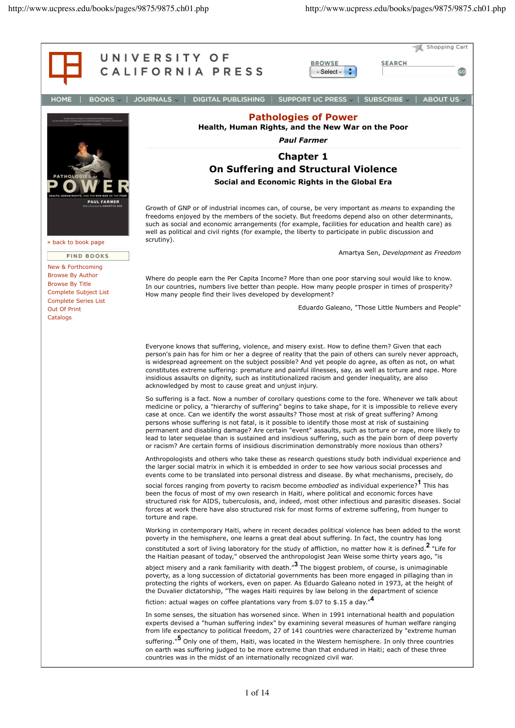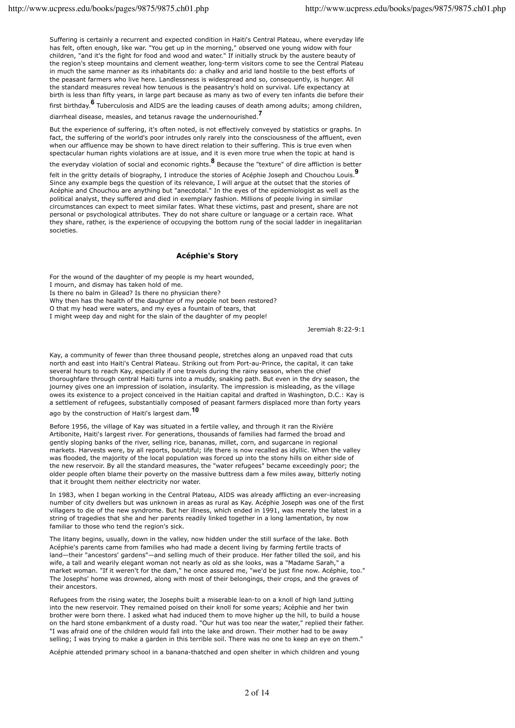Suffering is certainly a recurrent and expected condition in Haiti's Central Plateau, where everyday life has felt, often enough, like war. "You get up in the morning," observed one young widow with four children, "and it's the fight for food and wood and water." If initially struck by the austere beauty of the region's steep mountains and clement weather, long-term visitors come to see the Central Plateau in much the same manner as its inhabitants do: a chalky and arid land hostile to the best efforts of the peasant farmers who live here. Landlessness is widespread and so, consequently, is hunger. All the standard measures reveal how tenuous is the peasantry's hold on survival. Life expectancy at birth is less than fifty years, in large part because as many as two of every ten infants die before their

first birthday.**6** Tuberculosis and AIDS are the leading causes of death among adults; among children, diarrheal disease, measles, and tetanus ravage the undernourished.**<sup>7</sup>**

But the experience of suffering, it's often noted, is not effectively conveyed by statistics or graphs. In fact, the suffering of the world's poor intrudes only rarely into the consciousness of the affluent, even when our affluence may be shown to have direct relation to their suffering. This is true even when spectacular human rights violations are at issue, and it is even more true when the topic at hand is

the everyday violation of social and economic rights.**8** Because the "texture" of dire affliction is better

felt in the gritty details of biography, I introduce the stories of Acéphie Joseph and Chouchou Louis.**<sup>9</sup>** Since any example begs the question of its relevance, I will argue at the outset that the stories of Acéphie and Chouchou are anything but "anecdotal." In the eyes of the epidemiologist as well as the political analyst, they suffered and died in exemplary fashion. Millions of people living in similar circumstances can expect to meet similar fates. What these victims, past and present, share are not personal or psychological attributes. They do not share culture or language or a certain race. What they share, rather, is the experience of occupying the bottom rung of the social ladder in inegalitarian societies.

## **Acéphie's Story**

For the wound of the daughter of my people is my heart wounded, I mourn, and dismay has taken hold of me. Is there no balm in Gilead? Is there no physician there? Why then has the health of the daughter of my people not been restored? O that my head were waters, and my eyes a fountain of tears, that I might weep day and night for the slain of the daughter of my people!

Jeremiah 8:22-9:1

Kay, a community of fewer than three thousand people, stretches along an unpaved road that cuts north and east into Haiti's Central Plateau. Striking out from Port-au-Prince, the capital, it can take several hours to reach Kay, especially if one travels during the rainy season, when the chief thoroughfare through central Haiti turns into a muddy, snaking path. But even in the dry season, the journey gives one an impression of isolation, insularity. The impression is misleading, as the village owes its existence to a project conceived in the Haitian capital and drafted in Washington, D.C.: Kay is a settlement of refugees, substantially composed of peasant farmers displaced more than forty years

ago by the construction of Haiti's largest dam.**<sup>10</sup>**

Before 1956, the village of Kay was situated in a fertile valley, and through it ran the Rivière Artibonite, Haiti's largest river. For generations, thousands of families had farmed the broad and gently sloping banks of the river, selling rice, bananas, millet, corn, and sugarcane in regional markets. Harvests were, by all reports, bountiful; life there is now recalled as idyllic. When the valley was flooded, the majority of the local population was forced up into the stony hills on either side of the new reservoir. By all the standard measures, the "water refugees" became exceedingly poor; the older people often blame their poverty on the massive buttress dam a few miles away, bitterly noting that it brought them neither electricity nor water.

In 1983, when I began working in the Central Plateau, AIDS was already afflicting an ever-increasing number of city dwellers but was unknown in areas as rural as Kay. Acéphie Joseph was one of the first villagers to die of the new syndrome. But her illness, which ended in 1991, was merely the latest in a string of tragedies that she and her parents readily linked together in a long lamentation, by now familiar to those who tend the region's sick.

The litany begins, usually, down in the valley, now hidden under the still surface of the lake. Both Acéphie's parents came from families who had made a decent living by farming fertile tracts of land—their "ancestors' gardens"—and selling much of their produce. Her father tilled the soil, and his wife, a tall and wearily elegant woman not nearly as old as she looks, was a "Madame Sarah," a market woman. "If it weren't for the dam," he once assured me, "we'd be just fine now. Acéphie, too." The Josephs' home was drowned, along with most of their belongings, their crops, and the graves of their ancestors.

Refugees from the rising water, the Josephs built a miserable lean-to on a knoll of high land jutting into the new reservoir. They remained poised on their knoll for some years; Acéphie and her twin brother were born there. I asked what had induced them to move higher up the hill, to build a house on the hard stone embankment of a dusty road. "Our hut was too near the water," replied their father. "I was afraid one of the children would fall into the lake and drown. Their mother had to be away selling; I was trying to make a garden in this terrible soil. There was no one to keep an eye on them."

Acéphie attended primary school in a banana-thatched and open shelter in which children and young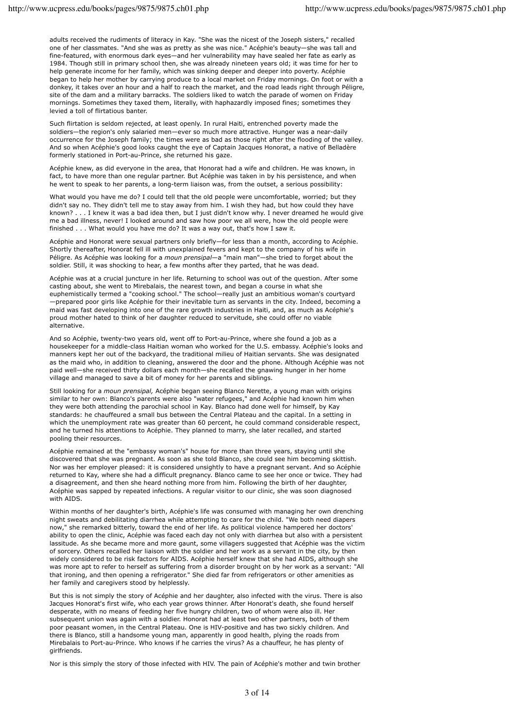adults received the rudiments of literacy in Kay. "She was the nicest of the Joseph sisters," recalled one of her classmates. "And she was as pretty as she was nice." Acéphie's beauty—she was tall and fine-featured, with enormous dark eyes—and her vulnerability may have sealed her fate as early as 1984. Though still in primary school then, she was already nineteen years old; it was time for her to help generate income for her family, which was sinking deeper and deeper into poverty. Acéphie began to help her mother by carrying produce to a local market on Friday mornings. On foot or with a donkey, it takes over an hour and a half to reach the market, and the road leads right through Péligre, site of the dam and a military barracks. The soldiers liked to watch the parade of women on Friday mornings. Sometimes they taxed them, literally, with haphazardly imposed fines; sometimes they levied a toll of flirtatious banter.

Such flirtation is seldom rejected, at least openly. In rural Haiti, entrenched poverty made the soldiers—the region's only salaried men—ever so much more attractive. Hunger was a near-daily occurrence for the Joseph family; the times were as bad as those right after the flooding of the valley. And so when Acéphie's good looks caught the eye of Captain Jacques Honorat, a native of Belladère formerly stationed in Port-au-Prince, she returned his gaze.

Acéphie knew, as did everyone in the area, that Honorat had a wife and children. He was known, in fact, to have more than one regular partner. But Acéphie was taken in by his persistence, and when he went to speak to her parents, a long-term liaison was, from the outset, a serious possibility:

What would you have me do? I could tell that the old people were uncomfortable, worried; but they didn't say no. They didn't tell me to stay away from him. I wish they had, but how could they have known? . . . I knew it was a bad idea then, but I just didn't know why. I never dreamed he would give me a bad illness, never! I looked around and saw how poor we all were, how the old people were finished . . . What would you have me do? It was a way out, that's how I saw it.

Acéphie and Honorat were sexual partners only briefly—for less than a month, according to Acéphie. Shortly thereafter, Honorat fell ill with unexplained fevers and kept to the company of his wife in Péligre. As Acéphie was looking for a *moun prensipal*—a "main man"—she tried to forget about the soldier. Still, it was shocking to hear, a few months after they parted, that he was dead.

Acéphie was at a crucial juncture in her life. Returning to school was out of the question. After some casting about, she went to Mirebalais, the nearest town, and began a course in what she euphemistically termed a "cooking school." The school—really just an ambitious woman's courtyard —prepared poor girls like Acéphie for their inevitable turn as servants in the city. Indeed, becoming a maid was fast developing into one of the rare growth industries in Haiti, and, as much as Acéphie's proud mother hated to think of her daughter reduced to servitude, she could offer no viable alternative.

And so Acéphie, twenty-two years old, went off to Port-au-Prince, where she found a job as a housekeeper for a middle-class Haitian woman who worked for the U.S. embassy. Acéphie's looks and manners kept her out of the backyard, the traditional milieu of Haitian servants. She was designated as the maid who, in addition to cleaning, answered the door and the phone. Although Acéphie was not paid well—she received thirty dollars each month—she recalled the gnawing hunger in her home village and managed to save a bit of money for her parents and siblings.

Still looking for a *moun prensipal,* Acéphie began seeing Blanco Nerette, a young man with origins similar to her own: Blanco's parents were also "water refugees," and Acéphie had known him when they were both attending the parochial school in Kay. Blanco had done well for himself, by Kay standards: he chauffeured a small bus between the Central Plateau and the capital. In a setting in which the unemployment rate was greater than 60 percent, he could command considerable respect, and he turned his attentions to Acéphie. They planned to marry, she later recalled, and started pooling their resources.

Acéphie remained at the "embassy woman's" house for more than three years, staying until she discovered that she was pregnant. As soon as she told Blanco, she could see him becoming skittish. Nor was her employer pleased: it is considered unsightly to have a pregnant servant. And so Acéphie returned to Kay, where she had a difficult pregnancy. Blanco came to see her once or twice. They had a disagreement, and then she heard nothing more from him. Following the birth of her daughter, Acéphie was sapped by repeated infections. A regular visitor to our clinic, she was soon diagnosed with AIDS.

Within months of her daughter's birth, Acéphie's life was consumed with managing her own drenching night sweats and debilitating diarrhea while attempting to care for the child. "We both need diapers now," she remarked bitterly, toward the end of her life. As political violence hampered her doctors' ability to open the clinic, Acéphie was faced each day not only with diarrhea but also with a persistent lassitude. As she became more and more gaunt, some villagers suggested that Acéphie was the victim of sorcery. Others recalled her liaison with the soldier and her work as a servant in the city, by then widely considered to be risk factors for AIDS. Acéphie herself knew that she had AIDS, although she was more apt to refer to herself as suffering from a disorder brought on by her work as a servant: "All that ironing, and then opening a refrigerator." She died far from refrigerators or other amenities as her family and caregivers stood by helplessly.

But this is not simply the story of Acéphie and her daughter, also infected with the virus. There is also Jacques Honorat's first wife, who each year grows thinner. After Honorat's death, she found herself desperate, with no means of feeding her five hungry children, two of whom were also ill. Her subsequent union was again with a soldier. Honorat had at least two other partners, both of them poor peasant women, in the Central Plateau. One is HIV-positive and has two sickly children. And there is Blanco, still a handsome young man, apparently in good health, plying the roads from Mirebalais to Port-au-Prince. Who knows if he carries the virus? As a chauffeur, he has plenty of girlfriends.

Nor is this simply the story of those infected with HIV. The pain of Acéphie's mother and twin brother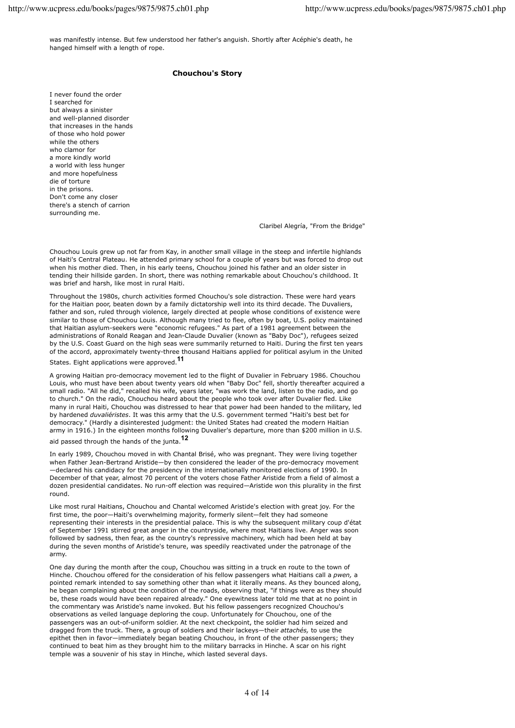was manifestly intense. But few understood her father's anguish. Shortly after Acéphie's death, he hanged himself with a length of rope.

### **Chouchou's Story**

I never found the order I searched for but always a sinister and well-planned disorder that increases in the hands of those who hold power while the others who clamor for a more kindly world a world with less hunger and more hopefulness die of torture in the prisons. Don't come any closer there's a stench of carrion surrounding me.

Claribel Alegría, "From the Bridge"

Chouchou Louis grew up not far from Kay, in another small village in the steep and infertile highlands of Haiti's Central Plateau. He attended primary school for a couple of years but was forced to drop out when his mother died. Then, in his early teens, Chouchou joined his father and an older sister in tending their hillside garden. In short, there was nothing remarkable about Chouchou's childhood. It was brief and harsh, like most in rural Haiti.

Throughout the 1980s, church activities formed Chouchou's sole distraction. These were hard years for the Haitian poor, beaten down by a family dictatorship well into its third decade. The Duvaliers, father and son, ruled through violence, largely directed at people whose conditions of existence were similar to those of Chouchou Louis. Although many tried to flee, often by boat, U.S. policy maintained that Haitian asylum-seekers were "economic refugees." As part of a 1981 agreement between the administrations of Ronald Reagan and Jean-Claude Duvalier (known as "Baby Doc"), refugees seized by the U.S. Coast Guard on the high seas were summarily returned to Haiti. During the first ten years of the accord, approximately twenty-three thousand Haitians applied for political asylum in the United States. Eight applications were approved.**<sup>11</sup>**

A growing Haitian pro-democracy movement led to the flight of Duvalier in February 1986. Chouchou Louis, who must have been about twenty years old when "Baby Doc" fell, shortly thereafter acquired a small radio. "All he did," recalled his wife, years later, "was work the land, listen to the radio, and go to church." On the radio, Chouchou heard about the people who took over after Duvalier fled. Like many in rural Haiti, Chouchou was distressed to hear that power had been handed to the military, led by hardened *duvaliéristes*. It was this army that the U.S. government termed "Haiti's best bet for democracy." (Hardly a disinterested judgment: the United States had created the modern Haitian army in 1916.) In the eighteen months following Duvalier's departure, more than \$200 million in U.S. aid passed through the hands of the junta.**<sup>12</sup>**

In early 1989, Chouchou moved in with Chantal Brisé, who was pregnant. They were living together when Father Jean-Bertrand Aristide—by then considered the leader of the pro-democracy movement —declared his candidacy for the presidency in the internationally monitored elections of 1990. In December of that year, almost 70 percent of the voters chose Father Aristide from a field of almost a dozen presidential candidates. No run-off election was required—Aristide won this plurality in the first round.

Like most rural Haitians, Chouchou and Chantal welcomed Aristide's election with great joy. For the first time, the poor-Haiti's overwhelming majority, formerly silent-felt they had someone representing their interests in the presidential palace. This is why the subsequent military coup d'état of September 1991 stirred great anger in the countryside, where most Haitians live. Anger was soon followed by sadness, then fear, as the country's repressive machinery, which had been held at bay during the seven months of Aristide's tenure, was speedily reactivated under the patronage of the army.

One day during the month after the coup, Chouchou was sitting in a truck en route to the town of Hinche. Chouchou offered for the consideration of his fellow passengers what Haitians call a *pwen,* a pointed remark intended to say something other than what it literally means. As they bounced along, he began complaining about the condition of the roads, observing that, "if things were as they should be, these roads would have been repaired already." One eyewitness later told me that at no point in the commentary was Aristide's name invoked. But his fellow passengers recognized Chouchou's observations as veiled language deploring the coup. Unfortunately for Chouchou, one of the passengers was an out-of-uniform soldier. At the next checkpoint, the soldier had him seized and dragged from the truck. There, a group of soldiers and their lackeys—their *attachés,* to use the epithet then in favor—immediately began beating Chouchou, in front of the other passengers; they continued to beat him as they brought him to the military barracks in Hinche. A scar on his right temple was a souvenir of his stay in Hinche, which lasted several days.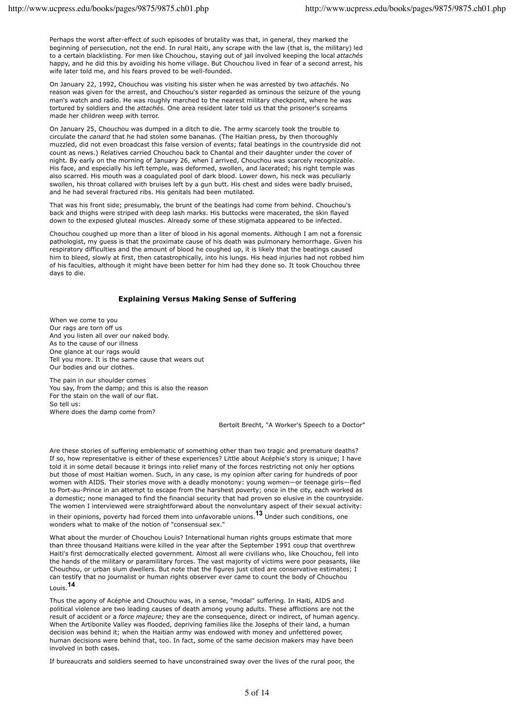Perhaps the worst after-effect of such episodes of brutality was that, in general, they marked the beginning of persecution, not the end. In rural Haiti, any scrape with the law (that is, the military) led to a certain blacklisting. For men like Chouchou, staying out of jail involved keeping the local *attachés* happy, and he did this by avoiding his home village. But Chouchou lived in fear of a second arrest, his wife later told me, and his fears proved to be well-founded.

On January 22, 1992, Chouchou was visiting his sister when he was arrested by two *attachés.* No reason was given for the arrest, and Chouchou's sister regarded as ominous the seizure of the young man's watch and radio. He was roughly marched to the nearest military checkpoint, where he was tortured by soldiers and the *attachés.* One area resident later told us that the prisoner's screams made her children weep with terror.

On January 25, Chouchou was dumped in a ditch to die. The army scarcely took the trouble to circulate the *canard* that he had stolen some bananas. (The Haitian press, by then thoroughly muzzled, did not even broadcast this false version of events; fatal beatings in the countryside did not count as news.) Relatives carried Chouchou back to Chantal and their daughter under the cover of night. By early on the morning of January 26, when I arrived, Chouchou was scarcely recognizable. His face, and especially his left temple, was deformed, swollen, and lacerated; his right temple was also scarred. His mouth was a coagulated pool of dark blood. Lower down, his neck was peculiarly swollen, his throat collared with bruises left by a gun butt. His chest and sides were badly bruised, and he had several fractured ribs. His genitals had been mutilated.

That was his front side; presumably, the brunt of the beatings had come from behind. Chouchou's back and thighs were striped with deep lash marks. His buttocks were macerated, the skin flayed down to the exposed gluteal muscles. Already some of these stigmata appeared to be infected.

Chouchou coughed up more than a liter of blood in his agonal moments. Although I am not a forensic pathologist, my guess is that the proximate cause of his death was pulmonary hemorrhage. Given his respiratory difficulties and the amount of blood he coughed up, it is likely that the beatings caused him to bleed, slowly at first, then catastrophically, into his lungs. His head injuries had not robbed him of his faculties, although it might have been better for him had they done so. It took Chouchou three days to die.

#### **Explaining Versus Making Sense of Suffering**

When we come to you Our rags are torn off us And you listen all over our naked body. As to the cause of our illness One glance at our rags would Tell you more. It is the same cause that wears out Our bodies and our clothes.

The pain in our shoulder comes You say, from the damp; and this is also the reason For the stain on the wall of our flat. So tell us: Where does the damp come from?

Bertolt Brecht, "A Worker's Speech to a Doctor"

Are these stories of suffering emblematic of something other than two tragic and premature deaths? If so, how representative is either of these experiences? Little about Acéphie's story is unique; I have told it in some detail because it brings into relief many of the forces restricting not only her options but those of most Haitian women. Such, in any case, is my opinion after caring for hundreds of poor women with AIDS. Their stories move with a deadly monotony: young women—or teenage girls—fled to Port-au-Prince in an attempt to escape from the harshest poverty; once in the city, each worked as a domestic; none managed to find the financial security that had proven so elusive in the countryside. The women I interviewed were straightforward about the nonvoluntary aspect of their sexual activity:

in their opinions, poverty had forced them into unfavorable unions.**13** Under such conditions, one wonders what to make of the notion of "consensual sex."

What about the murder of Chouchou Louis? International human rights groups estimate that more than three thousand Haitians were killed in the year after the September 1991 coup that overthrew Haiti's first democratically elected government. Almost all were civilians who, like Chouchou, fell into the hands of the military or paramilitary forces. The vast majority of victims were poor peasants, like Chouchou, or urban slum dwellers. But note that the figures just cited are conservative estimates; I can testify that no journalist or human rights observer ever came to count the body of Chouchou Louis.**<sup>14</sup>**

Thus the agony of Acéphie and Chouchou was, in a sense, "modal" suffering. In Haiti, AIDS and political violence are two leading causes of death among young adults. These afflictions are not the result of accident or a *force majeure;* they are the consequence, direct or indirect, of human agency. When the Artibonite Valley was flooded, depriving families like the Josephs of their land, a human decision was behind it; when the Haitian army was endowed with money and unfettered power, human decisions were behind that, too. In fact, some of the same decision makers may have been involved in both cases.

If bureaucrats and soldiers seemed to have unconstrained sway over the lives of the rural poor, the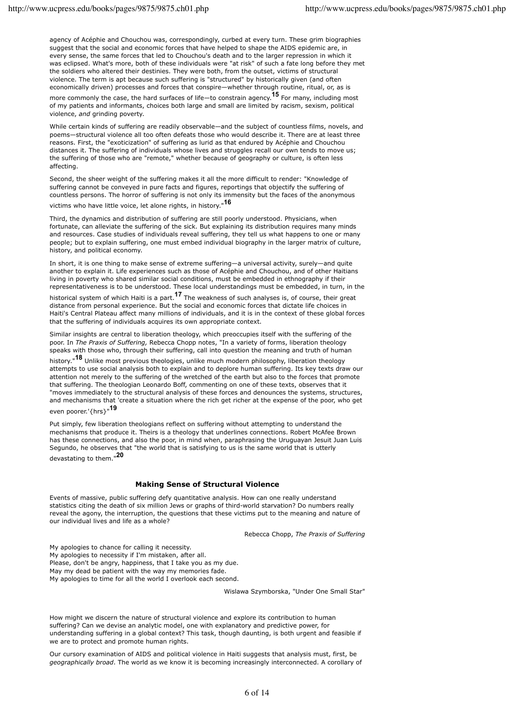agency of Acéphie and Chouchou was, correspondingly, curbed at every turn. These grim biographies suggest that the social and economic forces that have helped to shape the AIDS epidemic are, in every sense, the same forces that led to Chouchou's death and to the larger repression in which it was eclipsed. What's more, both of these individuals were "at risk" of such a fate long before they met the soldiers who altered their destinies. They were both, from the outset, victims of structural violence. The term is apt because such suffering is "structured" by historically given (and often economically driven) processes and forces that conspire—whether through routine, ritual, or, as is

more commonly the case, the hard surfaces of life—to constrain agency.**15** For many, including most of my patients and informants, choices both large and small are limited by racism, sexism, political violence, *and* grinding poverty.

While certain kinds of suffering are readily observable—and the subject of countless films, novels, and poems—structural violence all too often defeats those who would describe it. There are at least three reasons. First, the "exoticization" of suffering as lurid as that endured by Acéphie and Chouchou distances it. The suffering of individuals whose lives and struggles recall our own tends to move us; the suffering of those who are "remote," whether because of geography or culture, is often less affecting.

Second, the sheer weight of the suffering makes it all the more difficult to render: "Knowledge of suffering cannot be conveyed in pure facts and figures, reportings that objectify the suffering of countless persons. The horror of suffering is not only its immensity but the faces of the anonymous

victims who have little voice, let alone rights, in history."**<sup>16</sup>**

Third, the dynamics and distribution of suffering are still poorly understood. Physicians, when fortunate, can alleviate the suffering of the sick. But explaining its distribution requires many minds and resources. Case studies of individuals reveal suffering, they tell us what happens to one or many people; but to explain suffering, one must embed individual biography in the larger matrix of culture, history, and political economy.

In short, it is one thing to make sense of extreme suffering—a universal activity, surely—and quite another to explain it. Life experiences such as those of Acéphie and Chouchou, and of other Haitians living in poverty who shared similar social conditions, must be embedded in ethnography if their representativeness is to be understood. These local understandings must be embedded, in turn, in the

historical system of which Haiti is a part.**17** The weakness of such analyses is, of course, their great distance from personal experience. But the social and economic forces that dictate life choices in Haiti's Central Plateau affect many millions of individuals, and it is in the context of these global forces that the suffering of individuals acquires its own appropriate context.

Similar insights are central to liberation theology, which preoccupies itself with the suffering of the poor. In *The Praxis of Suffering,* Rebecca Chopp notes, "In a variety of forms, liberation theology speaks with those who, through their suffering, call into question the meaning and truth of human

history."**18** Unlike most previous theologies, unlike much modern philosophy, liberation theology attempts to use social analysis both to explain and to deplore human suffering. Its key texts draw our attention not merely to the suffering of the wretched of the earth but also to the forces that promote that suffering. The theologian Leonardo Boff, commenting on one of these texts, observes that it "moves immediately to the structural analysis of these forces and denounces the systems, structures, and mechanisms that 'create a situation where the rich get richer at the expense of the poor, who get even poorer.'{hrs}"**<sup>19</sup>**

Put simply, few liberation theologians reflect on suffering without attempting to understand the mechanisms that produce it. Theirs is a theology that underlines connections. Robert McAfee Brown has these connections, and also the poor, in mind when, paraphrasing the Uruguayan Jesuit Juan Luis Segundo, he observes that "the world that is satisfying to us is the same world that is utterly devastating to them."**<sup>20</sup>**

#### **Making Sense of Structural Violence**

Events of massive, public suffering defy quantitative analysis. How can one really understand statistics citing the death of six million Jews or graphs of third-world starvation? Do numbers really reveal the agony, the interruption, the questions that these victims put to the meaning and nature of our individual lives and life as a whole?

Rebecca Chopp, *The Praxis of Suffering*

My apologies to chance for calling it necessity. My apologies to necessity if I'm mistaken, after all. Please, don't be angry, happiness, that I take you as my due. May my dead be patient with the way my memories fade. My apologies to time for all the world I overlook each second.

Wislawa Szymborska, "Under One Small Star"

How might we discern the nature of structural violence and explore its contribution to human suffering? Can we devise an analytic model, one with explanatory and predictive power, for understanding suffering in a global context? This task, though daunting, is both urgent and feasible if we are to protect and promote human rights.

Our cursory examination of AIDS and political violence in Haiti suggests that analysis must, first, be *geographically broad*. The world as we know it is becoming increasingly interconnected. A corollary of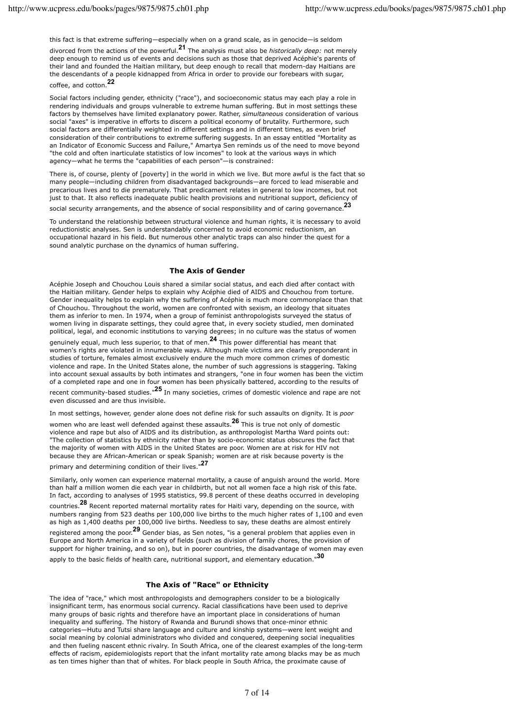this fact is that extreme suffering—especially when on a grand scale, as in genocide—is seldom

divorced from the actions of the powerful.**21** The analysis must also be *historically deep:* not merely deep enough to remind us of events and decisions such as those that deprived Acéphie's parents of their land and founded the Haitian military, but deep enough to recall that modern-day Haitians are the descendants of a people kidnapped from Africa in order to provide our forebears with sugar, coffee, and cotton.**<sup>22</sup>**

Social factors including gender, ethnicity ("race"), and socioeconomic status may each play a role in rendering individuals and groups vulnerable to extreme human suffering. But in most settings these factors by themselves have limited explanatory power. Rather, *simultaneous* consideration of various social "axes" is imperative in efforts to discern a political economy of brutality. Furthermore, such social factors are differentially weighted in different settings and in different times, as even brief consideration of their contributions to extreme suffering suggests. In an essay entitled "Mortality as an Indicator of Economic Success and Failure," Amartya Sen reminds us of the need to move beyond "the cold and often inarticulate statistics of low incomes" to look at the various ways in which agency—what he terms the "capabilities of each person"—is constrained:

There is, of course, plenty of [poverty] in the world in which we live. But more awful is the fact that so many people—including children from disadvantaged backgrounds—are forced to lead miserable and precarious lives and to die prematurely. That predicament relates in general to low incomes, but not just to that. It also reflects inadequate public health provisions and nutritional support, deficiency of social security arrangements, and the absence of social responsibility and of caring governance.**<sup>23</sup>**

To understand the relationship between structural violence and human rights, it is necessary to avoid reductionistic analyses. Sen is understandably concerned to avoid economic reductionism, an occupational hazard in his field. But numerous other analytic traps can also hinder the quest for a sound analytic purchase on the dynamics of human suffering.

### **The Axis of Gender**

Acéphie Joseph and Chouchou Louis shared a similar social status, and each died after contact with the Haitian military. Gender helps to explain why Acéphie died of AIDS and Chouchou from torture. Gender inequality helps to explain why the suffering of Acéphie is much more commonplace than that of Chouchou. Throughout the world, women are confronted with sexism, an ideology that situates them as inferior to men. In 1974, when a group of feminist anthropologists surveyed the status of women living in disparate settings, they could agree that, in every society studied, men dominated political, legal, and economic institutions to varying degrees; in no culture was the status of women

genuinely equal, much less superior, to that of men.**24** This power differential has meant that women's rights are violated in innumerable ways. Although male victims are clearly preponderant in studies of torture, females almost exclusively endure the much more common crimes of domestic violence and rape. In the United States alone, the number of such aggressions is staggering. Taking into account sexual assaults by both intimates and strangers, "one in four women has been the victim of a completed rape and one in four women has been physically battered, according to the results of recent community-based studies."**25** In many societies, crimes of domestic violence and rape are not even discussed and are thus invisible.

In most settings, however, gender alone does not define risk for such assaults on dignity. It is *poor* women who are least well defended against these assaults.**26** This is true not only of domestic violence and rape but also of AIDS and its distribution, as anthropologist Martha Ward points out: "The collection of statistics by ethnicity rather than by socio-economic status obscures the fact that the majority of women with AIDS in the United States are poor. Women are at risk for HIV not because they are African-American or speak Spanish; women are at risk because poverty is the primary and determining condition of their lives."**<sup>27</sup>**

Similarly, only women can experience maternal mortality, a cause of anguish around the world. More than half a million women die each year in childbirth, but not all women face a high risk of this fate. In fact, according to analyses of 1995 statistics, 99.8 percent of these deaths occurred in developing countries.**28** Recent reported maternal mortality rates for Haiti vary, depending on the source, with numbers ranging from 523 deaths per 100,000 live births to the much higher rates of 1,100 and even as high as 1,400 deaths per 100,000 live births. Needless to say, these deaths are almost entirely registered among the poor.**29** Gender bias, as Sen notes, "is a general problem that applies even in Europe and North America in a variety of fields (such as division of family chores, the provision of support for higher training, and so on), but in poorer countries, the disadvantage of women may even apply to the basic fields of health care, nutritional support, and elementary education."**<sup>30</sup>**

### **The Axis of "Race" or Ethnicity**

The idea of "race," which most anthropologists and demographers consider to be a biologically insignificant term, has enormous social currency. Racial classifications have been used to deprive many groups of basic rights and therefore have an important place in considerations of human inequality and suffering. The history of Rwanda and Burundi shows that once-minor ethnic categories—Hutu and Tutsi share language and culture and kinship systems—were lent weight and social meaning by colonial administrators who divided and conquered, deepening social inequalities and then fueling nascent ethnic rivalry. In South Africa, one of the clearest examples of the long-term effects of racism, epidemiologists report that the infant mortality rate among blacks may be as much as ten times higher than that of whites. For black people in South Africa, the proximate cause of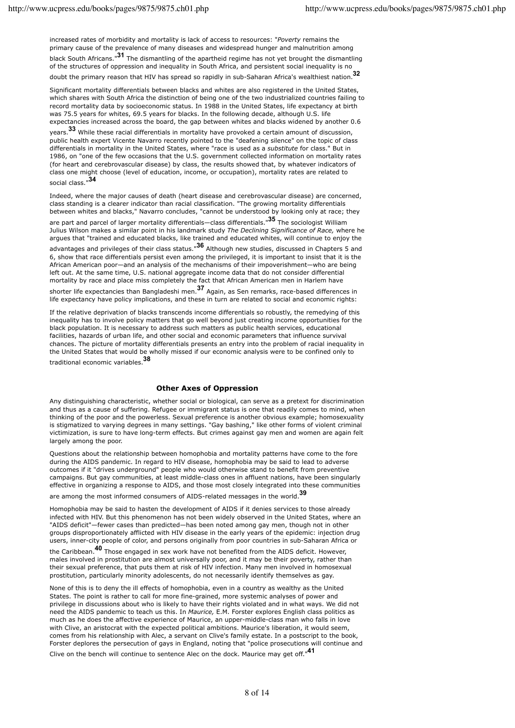increased rates of morbidity and mortality is lack of access to resources: "*Poverty* remains the primary cause of the prevalence of many diseases and widespread hunger and malnutrition among black South Africans."**31** The dismantling of the apartheid regime has not yet brought the dismantling of the structures of oppression and inequality in South Africa, and persistent social inequality is no

doubt the primary reason that HIV has spread so rapidly in sub-Saharan Africa's wealthiest nation.**<sup>32</sup>**

Significant mortality differentials between blacks and whites are also registered in the United States, which shares with South Africa the distinction of being one of the two industrialized countries failing to record mortality data by socioeconomic status. In 1988 in the United States, life expectancy at birth was 75.5 years for whites, 69.5 years for blacks. In the following decade, although U.S. life expectancies increased across the board, the gap between whites and blacks widened by another 0.6

years.**33** While these racial differentials in mortality have provoked a certain amount of discussion, public health expert Vicente Navarro recently pointed to the "deafening silence" on the topic of class differentials in mortality in the United States, where "race is used as a *substitute* for class." But in 1986, on "one of the few occasions that the U.S. government collected information on mortality rates (for heart and cerebrovascular disease) by class, the results showed that, by whatever indicators of class one might choose (level of education, income, or occupation), mortality rates are related to social class."**<sup>34</sup>**

Indeed, where the major causes of death (heart disease and cerebrovascular disease) are concerned, class standing is a clearer indicator than racial classification. "The growing mortality differentials between whites and blacks," Navarro concludes, "cannot be understood by looking only at race; they

are part and parcel of larger mortality differentials—class differentials."**35** The sociologist William Julius Wilson makes a similar point in his landmark study *The Declining Significance of Race,* where he argues that "trained and educated blacks, like trained and educated whites, will continue to enjoy the

advantages and privileges of their class status."**36** Although new studies, discussed in Chapters 5 and 6, show that race differentials persist even among the privileged, it is important to insist that it is the African American poor—and an analysis of the mechanisms of their impoverishment—who are being left out. At the same time, U.S. national aggregate income data that do not consider differential mortality by race and place miss completely the fact that African American men in Harlem have

shorter life expectancies than Bangladeshi men.**37** Again, as Sen remarks, race-based differences in life expectancy have policy implications, and these in turn are related to social and economic rights:

If the relative deprivation of blacks transcends income differentials so robustly, the remedying of this inequality has to involve policy matters that go well beyond just creating income opportunities for the black population. It is necessary to address such matters as public health services, educational facilities, hazards of urban life, and other social and economic parameters that influence survival chances. The picture of mortality differentials presents an entry into the problem of racial inequality in the United States that would be wholly missed if our economic analysis were to be confined only to traditional economic variables.**<sup>38</sup>**

## **Other Axes of Oppression**

Any distinguishing characteristic, whether social or biological, can serve as a pretext for discrimination and thus as a cause of suffering. Refugee or immigrant status is one that readily comes to mind, when thinking of the poor and the powerless. Sexual preference is another obvious example; homosexuality is stigmatized to varying degrees in many settings. "Gay bashing," like other forms of violent criminal victimization, is sure to have long-term effects. But crimes against gay men and women are again felt largely among the poor.

Questions about the relationship between homophobia and mortality patterns have come to the fore during the AIDS pandemic. In regard to HIV disease, homophobia may be said to lead to adverse outcomes if it "drives underground" people who would otherwise stand to benefit from preventive campaigns. But gay communities, at least middle-class ones in affluent nations, have been singularly effective in organizing a response to AIDS, and those most closely integrated into these communities

are among the most informed consumers of AIDS-related messages in the world.**<sup>39</sup>**

Homophobia may be said to hasten the development of AIDS if it denies services to those already infected with HIV. But this phenomenon has not been widely observed in the United States, where an "AIDS deficit"—fewer cases than predicted—has been noted among gay men, though not in other groups disproportionately afflicted with HIV disease in the early years of the epidemic: injection drug users, inner-city people of color, and persons originally from poor countries in sub-Saharan Africa or

the Caribbean.**40** Those engaged in sex work have not benefited from the AIDS deficit. However, males involved in prostitution are almost universally poor, and it may be their poverty, rather than their sexual preference, that puts them at risk of HIV infection. Many men involved in homosexual prostitution, particularly minority adolescents, do not necessarily identify themselves as gay.

None of this is to deny the ill effects of homophobia, even in a country as wealthy as the United States. The point is rather to call for more fine-grained, more systemic analyses of power and privilege in discussions about who is likely to have their rights violated and in what ways. We did not need the AIDS pandemic to teach us this. In *Maurice,* E.M. Forster explores English class politics as much as he does the affective experience of Maurice, an upper-middle-class man who falls in love with Clive, an aristocrat with the expected political ambitions. Maurice's liberation, it would seem, comes from his relationship with Alec, a servant on Clive's family estate. In a postscript to the book, Forster deplores the persecution of gays in England, noting that "police prosecutions will continue and

Clive on the bench will continue to sentence Alec on the dock. Maurice may get off."**<sup>41</sup>**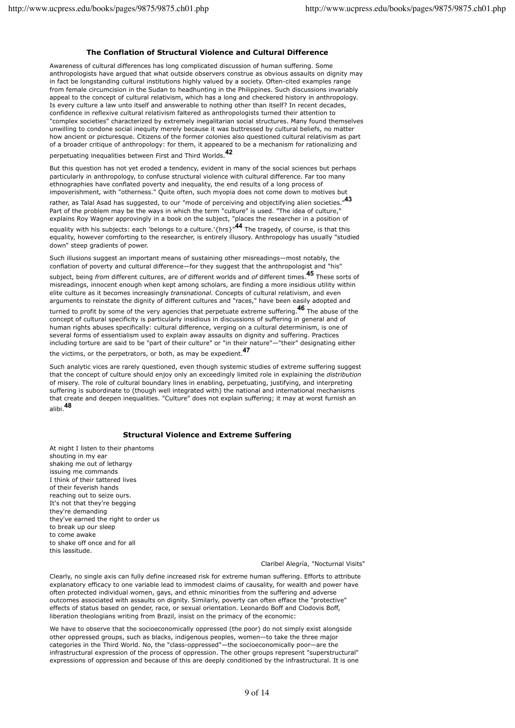# **The Conflation of Structural Violence and Cultural Difference**

Awareness of cultural differences has long complicated discussion of human suffering. Some anthropologists have argued that what outside observers construe as obvious assaults on dignity may in fact be longstanding cultural institutions highly valued by a society. Often-cited examples range from female circumcision in the Sudan to headhunting in the Philippines. Such discussions invariably appeal to the concept of cultural relativism, which has a long and checkered history in anthropology. Is every culture a law unto itself and answerable to nothing other than itself? In recent decades, confidence in reflexive cultural relativism faltered as anthropologists turned their attention to "complex societies" characterized by extremely inegalitarian social structures. Many found themselves unwilling to condone social inequity merely because it was buttressed by cultural beliefs, no matter how ancient or picturesque. Citizens of the former colonies also questioned cultural relativism as part of a broader critique of anthropology: for them, it appeared to be a mechanism for rationalizing and perpetuating inequalities between First and Third Worlds.**<sup>42</sup>**

But this question has not yet eroded a tendency, evident in many of the social sciences but perhaps particularly in anthropology, to confuse structural violence with cultural difference. Far too many ethnographies have conflated poverty and inequality, the end results of a long process of impoverishment, with "otherness." Quite often, such myopia does not come down to motives but

rather, as Talal Asad has suggested, to our "mode of perceiving and objectifying alien societies."**<sup>43</sup>** Part of the problem may be the ways in which the term "culture" is used. "The idea of culture," explains Roy Wagner approvingly in a book on the subject, "places the researcher in a position of

equality with his subjects: each 'belongs to a culture.'{hrs}"**44** The tragedy, of course, is that this equality, however comforting to the researcher, is entirely illusory. Anthropology has usually "studied down" steep gradients of power.

Such illusions suggest an important means of sustaining other misreadings—most notably, the conflation of poverty and cultural difference—for they suggest that the anthropologist and "his"

subject, being *from* different cultures, are *of* different worlds and *of* different times.**45** These sorts of misreadings, innocent enough when kept among scholars, are finding a more insidious utility within elite culture as it becomes increasingly *transnational*. Concepts of cultural relativism, and even arguments to reinstate the dignity of different cultures and "races," have been easily adopted and

turned to profit by some of the very agencies that perpetuate extreme suffering.**46** The abuse of the concept of cultural specificity is particularly insidious in discussions of suffering in general and of human rights abuses specifically: cultural difference, verging on a cultural determinism, is one of several forms of essentialism used to explain away assaults on dignity and suffering. Practices including torture are said to be "part of their culture" or "in their nature"—"their" designating either the victims, or the perpetrators, or both, as may be expedient.**<sup>47</sup>**

Such analytic vices are rarely questioned, even though systemic studies of extreme suffering suggest that the concept of culture should enjoy only an exceedingly limited role in explaining the *distribution* of misery. The role of cultural boundary lines in enabling, perpetuating, justifying, and interpreting suffering is subordinate to (though well integrated with) the national and international mechanisms that create and deepen inequalities. "Culture" does not explain suffering; it may at worst furnish an alibi.**<sup>48</sup>**

## **Structural Violence and Extreme Suffering**

At night I listen to their phantoms shouting in my ear shaking me out of lethargy issuing me commands I think of their tattered lives of their feverish hands reaching out to seize ours. It's not that they're begging they're demanding they've earned the right to order us to break up our sleep to come awake to shake off once and for all this lassitude.

Claribel Alegría, "Nocturnal Visits"

Clearly, no single axis can fully define increased risk for extreme human suffering. Efforts to attribute explanatory efficacy to one variable lead to immodest claims of causality, for wealth and power have often protected individual women, gays, and ethnic minorities from the suffering and adverse outcomes associated with assaults on dignity. Similarly, poverty can often efface the "protective" effects of status based on gender, race, or sexual orientation. Leonardo Boff and Clodovis Boff, liberation theologians writing from Brazil, insist on the primacy of the economic:

We have to observe that the socioeconomically oppressed (the poor) do not simply exist alongside other oppressed groups, such as blacks, indigenous peoples, women—to take the three major categories in the Third World. No, the "class-oppressed"—the socioeconomically poor—are the infrastructural expression of the process of oppression. The other groups represent "superstructural" expressions of oppression and because of this are deeply conditioned by the infrastructural. It is one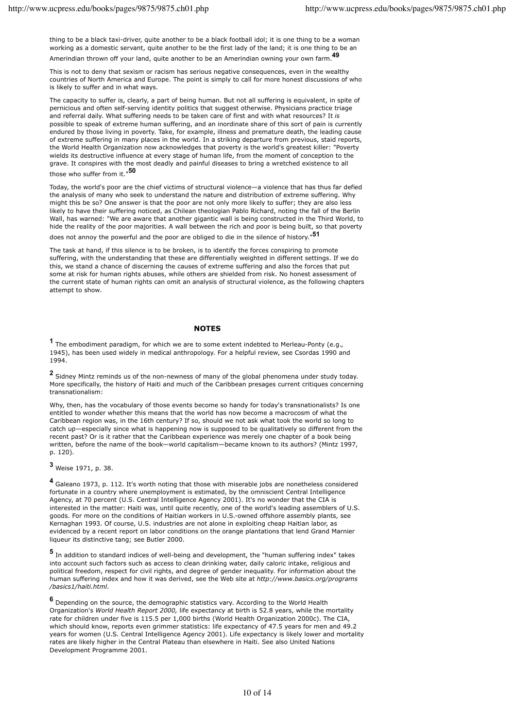thing to be a black taxi-driver, quite another to be a black football idol; it is one thing to be a woman working as a domestic servant, quite another to be the first lady of the land; it is one thing to be an Amerindian thrown off your land, quite another to be an Amerindian owning your own farm.**<sup>49</sup>**

This is not to deny that sexism or racism has serious negative consequences, even in the wealthy countries of North America and Europe. The point is simply to call for more honest discussions of who is likely to suffer and in what ways.

The capacity to suffer is, clearly, a part of being human. But not all suffering is equivalent, in spite of pernicious and often self-serving identity politics that suggest otherwise. Physicians practice triage and referral daily. What suffering needs to be taken care of first and with what resources? It *is* possible to speak of extreme human suffering, and an inordinate share of this sort of pain is currently endured by those living in poverty. Take, for example, illness and premature death, the leading cause of extreme suffering in many places in the world. In a striking departure from previous, staid reports, the World Health Organization now acknowledges that poverty is the world's greatest killer: "Poverty wields its destructive influence at every stage of human life, from the moment of conception to the grave. It conspires with the most deadly and painful diseases to bring a wretched existence to all those who suffer from it."**<sup>50</sup>**

Today, the world's poor are the chief victims of structural violence—a violence that has thus far defied the analysis of many who seek to understand the nature and distribution of extreme suffering. Why might this be so? One answer is that the poor are not only more likely to suffer; they are also less likely to have their suffering noticed, as Chilean theologian Pablo Richard, noting the fall of the Berlin Wall, has warned: "We are aware that another gigantic wall is being constructed in the Third World, to hide the reality of the poor majorities. A wall between the rich and poor is being built, so that poverty

does not annoy the powerful and the poor are obliged to die in the silence of history."**<sup>51</sup>**

The task at hand, if this silence is to be broken, is to identify the forces conspiring to promote suffering, with the understanding that these are differentially weighted in different settings. If we do this, we stand a chance of discerning the causes of extreme suffering and also the forces that put some at risk for human rights abuses, while others are shielded from risk. No honest assessment of the current state of human rights can omit an analysis of structural violence, as the following chapters attempt to show.

### **NOTES**

**<sup>1</sup>** The embodiment paradigm, for which we are to some extent indebted to Merleau-Ponty (e.g., 1945), has been used widely in medical anthropology. For a helpful review, see Csordas 1990 and 1994.

**<sup>2</sup>** Sidney Mintz reminds us of the non-newness of many of the global phenomena under study today. More specifically, the history of Haiti and much of the Caribbean presages current critiques concerning transnationalism:

Why, then, has the vocabulary of those events become so handy for today's transnationalists? Is one entitled to wonder whether this means that the world has now become a macrocosm of what the Caribbean region was, in the 16th century? If so, should we not ask what took the world so long to catch up—especially since what is happening now is supposed to be qualitatively so different from the recent past? Or is it rather that the Caribbean experience was merely one chapter of a book being written, before the name of the book—world capitalism—became known to its authors? (Mintz 1997, p. 120).

**<sup>3</sup>** Weise 1971, p. 38.

**<sup>4</sup>** Galeano 1973, p. 112. It's worth noting that those with miserable jobs are nonetheless considered fortunate in a country where unemployment is estimated, by the omniscient Central Intelligence Agency, at 70 percent (U.S. Central Intelligence Agency 2001). It's no wonder that the CIA is interested in the matter: Haiti was, until quite recently, one of the world's leading assemblers of U.S. goods. For more on the conditions of Haitian workers in U.S.-owned offshore assembly plants, see Kernaghan 1993. Of course, U.S. industries are not alone in exploiting cheap Haitian labor, as evidenced by a recent report on labor conditions on the orange plantations that lend Grand Marnier liqueur its distinctive tang; see Butler 2000.

**<sup>5</sup>** In addition to standard indices of well-being and development, the "human suffering index" takes into account such factors such as access to clean drinking water, daily caloric intake, religious and political freedom, respect for civil rights, and degree of gender inequality. For information about the human suffering index and how it was derived, see the Web site at *http://www.basics.org/programs /basics1/haiti.html*.

**<sup>6</sup>** Depending on the source, the demographic statistics vary. According to the World Health Organization's *World Health Report 2000,* life expectancy at birth is 52.8 years, while the mortality rate for children under five is 115.5 per 1,000 births (World Health Organization 2000c). The CIA, which should know, reports even grimmer statistics: life expectancy of 47.5 years for men and 49.2 years for women (U.S. Central Intelligence Agency 2001). Life expectancy is likely lower and mortality rates are likely higher in the Central Plateau than elsewhere in Haiti. See also United Nations Development Programme 2001.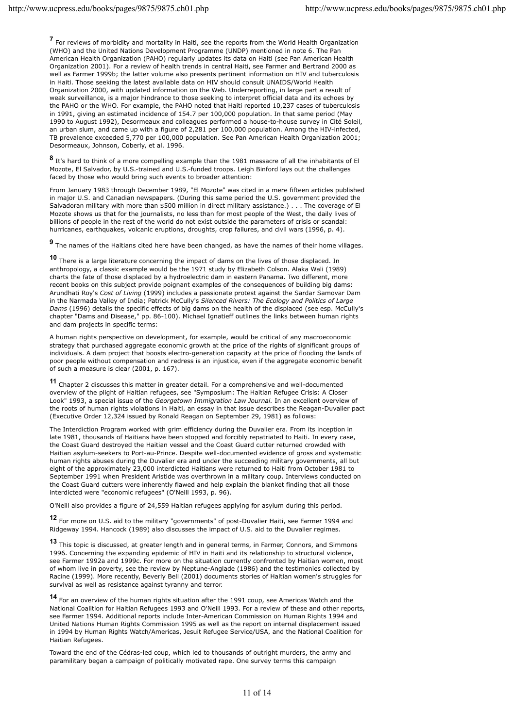**<sup>7</sup>** For reviews of morbidity and mortality in Haiti, see the reports from the World Health Organization (WHO) and the United Nations Development Programme (UNDP) mentioned in note 6. The Pan American Health Organization (PAHO) regularly updates its data on Haiti (see Pan American Health Organization 2001). For a review of health trends in central Haiti, see Farmer and Bertrand 2000 as well as Farmer 1999b; the latter volume also presents pertinent information on HIV and tuberculosis in Haiti. Those seeking the latest available data on HIV should consult UNAIDS/World Health Organization 2000, with updated information on the Web. Underreporting, in large part a result of weak surveillance, is a major hindrance to those seeking to interpret official data and its echoes by the PAHO or the WHO. For example, the PAHO noted that Haiti reported 10,237 cases of tuberculosis in 1991, giving an estimated incidence of 154.7 per 100,000 population. In that same period (May 1990 to August 1992), Desormeaux and colleagues performed a house-to-house survey in Cité Soleil, an urban slum, and came up with a figure of 2,281 per 100,000 population. Among the HIV-infected, TB prevalence exceeded 5,770 per 100,000 population. See Pan American Health Organization 2001; Desormeaux, Johnson, Coberly, et al. 1996.

**<sup>8</sup>** It's hard to think of a more compelling example than the 1981 massacre of all the inhabitants of El Mozote, El Salvador, by U.S.-trained and U.S.-funded troops. Leigh Binford lays out the challenges faced by those who would bring such events to broader attention:

From January 1983 through December 1989, "El Mozote" was cited in a mere fifteen articles published in major U.S. and Canadian newspapers. (During this same period the U.S. government provided the Salvadoran military with more than \$500 million in direct military assistance.) . . . The coverage of El Mozote shows us that for the journalists, no less than for most people of the West, the daily lives of billions of people in the rest of the world do not exist outside the parameters of crisis or scandal: hurricanes, earthquakes, volcanic eruptions, droughts, crop failures, and civil wars (1996, p. 4).

**<sup>9</sup>** The names of the Haitians cited here have been changed, as have the names of their home villages.

**10** There is a large literature concerning the impact of dams on the lives of those displaced. In anthropology, a classic example would be the 1971 study by Elizabeth Colson. Alaka Wali (1989) charts the fate of those displaced by a hydroelectric dam in eastern Panama. Two different, more recent books on this subject provide poignant examples of the consequences of building big dams: Arundhati Roy's *Cost of Living* (1999) includes a passionate protest against the Sardar Samovar Dam in the Narmada Valley of India; Patrick McCully's *Silenced Rivers: The Ecology and Politics of Large Dams* (1996) details the specific effects of big dams on the health of the displaced (see esp. McCully's chapter "Dams and Disease," pp. 86-100). Michael Ignatieff outlines the links between human rights and dam projects in specific terms:

A human rights perspective on development, for example, would be critical of any macroeconomic strategy that purchased aggregate economic growth at the price of the rights of significant groups of individuals. A dam project that boosts electro-generation capacity at the price of flooding the lands of poor people without compensation and redress is an injustice, even if the aggregate economic benefit of such a measure is clear (2001, p. 167).

**<sup>11</sup>** Chapter 2 discusses this matter in greater detail. For a comprehensive and well-documented overview of the plight of Haitian refugees, see "Symposium: The Haitian Refugee Crisis: A Closer Look" 1993, a special issue of the *Georgetown Immigration Law Journal.* In an excellent overview of the roots of human rights violations in Haiti, an essay in that issue describes the Reagan-Duvalier pact (Executive Order 12,324 issued by Ronald Reagan on September 29, 1981) as follows:

The Interdiction Program worked with grim efficiency during the Duvalier era. From its inception in late 1981, thousands of Haitians have been stopped and forcibly repatriated to Haiti. In every case, the Coast Guard destroyed the Haitian vessel and the Coast Guard cutter returned crowded with Haitian asylum-seekers to Port-au-Prince. Despite well-documented evidence of gross and systematic human rights abuses during the Duvalier era and under the succeeding military governments, all but eight of the approximately 23,000 interdicted Haitians were returned to Haiti from October 1981 to September 1991 when President Aristide was overthrown in a military coup. Interviews conducted on the Coast Guard cutters were inherently flawed and help explain the blanket finding that all those interdicted were "economic refugees" (O'Neill 1993, p. 96).

O'Neill also provides a figure of 24,559 Haitian refugees applying for asylum during this period.

**<sup>12</sup>** For more on U.S. aid to the military "governments" of post-Duvalier Haiti, see Farmer 1994 and Ridgeway 1994. Hancock (1989) also discusses the impact of U.S. aid to the Duvalier regimes.

**<sup>13</sup>** This topic is discussed, at greater length and in general terms, in Farmer, Connors, and Simmons 1996. Concerning the expanding epidemic of HIV in Haiti and its relationship to structural violence, see Farmer 1992a and 1999c. For more on the situation currently confronted by Haitian women, most of whom live in poverty, see the review by Neptune-Anglade (1986) and the testimonies collected by Racine (1999). More recently, Beverly Bell (2001) documents stories of Haitian women's struggles for survival as well as resistance against tyranny and terror.

**<sup>14</sup>** For an overview of the human rights situation after the 1991 coup, see Americas Watch and the National Coalition for Haitian Refugees 1993 and O'Neill 1993. For a review of these and other reports, see Farmer 1994. Additional reports include Inter-American Commission on Human Rights 1994 and United Nations Human Rights Commission 1995 as well as the report on internal displacement issued in 1994 by Human Rights Watch/Americas, Jesuit Refugee Service/USA, and the National Coalition for Haitian Refugees.

Toward the end of the Cédras-led coup, which led to thousands of outright murders, the army and paramilitary began a campaign of politically motivated rape. One survey terms this campaign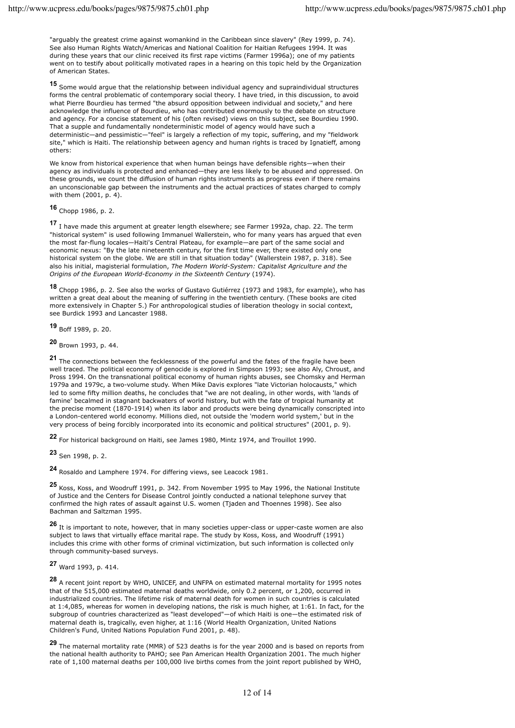"arguably the greatest crime against womankind in the Caribbean since slavery" (Rey 1999, p. 74). See also Human Rights Watch/Americas and National Coalition for Haitian Refugees 1994. It was during these years that our clinic received its first rape victims (Farmer 1996a); one of my patients went on to testify about politically motivated rapes in a hearing on this topic held by the Organization of American States.

**<sup>15</sup>** Some would argue that the relationship between individual agency and supraindividual structures forms the central problematic of contemporary social theory. I have tried, in this discussion, to avoid what Pierre Bourdieu has termed "the absurd opposition between individual and society," and here acknowledge the influence of Bourdieu, who has contributed enormously to the debate on structure and agency. For a concise statement of his (often revised) views on this subject, see Bourdieu 1990. That a supple and fundamentally nondeterministic model of agency would have such a deterministic—and pessimistic—"feel" is largely a reflection of my topic, suffering, and my "fieldwork site," which is Haiti. The relationship between agency and human rights is traced by Ignatieff, among others:

We know from historical experience that when human beings have defensible rights—when their agency as individuals is protected and enhanced—they are less likely to be abused and oppressed. On these grounds, we count the diffusion of human rights instruments as progress even if there remains an unconscionable gap between the instruments and the actual practices of states charged to comply with them  $(2001, p. 4)$ .

**<sup>16</sup>** Chopp 1986, p. 2.

**<sup>17</sup>** I have made this argument at greater length elsewhere; see Farmer 1992a, chap. 22. The term "historical system" is used following Immanuel Wallerstein, who for many years has argued that even the most far-flung locales—Haiti's Central Plateau, for example—are part of the same social and economic nexus: "By the late nineteenth century, for the first time ever, there existed only one historical system on the globe. We are still in that situation today" (Wallerstein 1987, p. 318). See also his initial, magisterial formulation, *The Modern World-System: Capitalist Agriculture and the Origins of the European World-Economy in the Sixteenth Century* (1974).

**<sup>18</sup>** Chopp 1986, p. 2. See also the works of Gustavo Gutiérrez (1973 and 1983, for example), who has written a great deal about the meaning of suffering in the twentieth century. (These books are cited more extensively in Chapter 5.) For anthropological studies of liberation theology in social context, see Burdick 1993 and Lancaster 1988.

**<sup>19</sup>** Boff 1989, p. 20.

**<sup>20</sup>** Brown 1993, p. 44.

**<sup>21</sup>** The connections between the fecklessness of the powerful and the fates of the fragile have been well traced. The political economy of genocide is explored in Simpson 1993; see also Aly, Chroust, and Pross 1994. On the transnational political economy of human rights abuses, see Chomsky and Herman 1979a and 1979c, a two-volume study. When Mike Davis explores "late Victorian holocausts," which led to some fifty million deaths, he concludes that "we are not dealing, in other words, with 'lands of famine' becalmed in stagnant backwaters of world history, but with the fate of tropical humanity at the precise moment (1870-1914) when its labor and products were being dynamically conscripted into a London-centered world economy. Millions died, not outside the 'modern world system,' but in the very process of being forcibly incorporated into its economic and political structures" (2001, p. 9).

**<sup>22</sup>** For historical background on Haiti, see James 1980, Mintz 1974, and Trouillot 1990.

**<sup>23</sup>** Sen 1998, p. 2.

**<sup>24</sup>** Rosaldo and Lamphere 1974. For differing views, see Leacock 1981.

**<sup>25</sup>** Koss, Koss, and Woodruff 1991, p. 342. From November 1995 to May 1996, the National Institute of Justice and the Centers for Disease Control jointly conducted a national telephone survey that confirmed the high rates of assault against U.S. women (Tjaden and Thoennes 1998). See also Bachman and Saltzman 1995.

**<sup>26</sup>** It is important to note, however, that in many societies upper-class or upper-caste women are also subject to laws that virtually efface marital rape. The study by Koss, Koss, and Woodruff (1991) includes this crime with other forms of criminal victimization, but such information is collected only through community-based surveys.

**<sup>27</sup>** Ward 1993, p. 414.

**<sup>28</sup>** A recent joint report by WHO, UNICEF, and UNFPA on estimated maternal mortality for 1995 notes that of the 515,000 estimated maternal deaths worldwide, only 0.2 percent, or 1,200, occurred in industrialized countries. The lifetime risk of maternal death for women in such countries is calculated at 1:4,085, whereas for women in developing nations, the risk is much higher, at 1:61. In fact, for the subgroup of countries characterized as "least developed"—of which Haiti is one—the estimated risk of maternal death is, tragically, even higher, at 1:16 (World Health Organization, United Nations Children's Fund, United Nations Population Fund 2001, p. 48).

**<sup>29</sup>** The maternal mortality rate (MMR) of 523 deaths is for the year 2000 and is based on reports from the national health authority to PAHO; see Pan American Health Organization 2001. The much higher rate of 1,100 maternal deaths per 100,000 live births comes from the joint report published by WHO,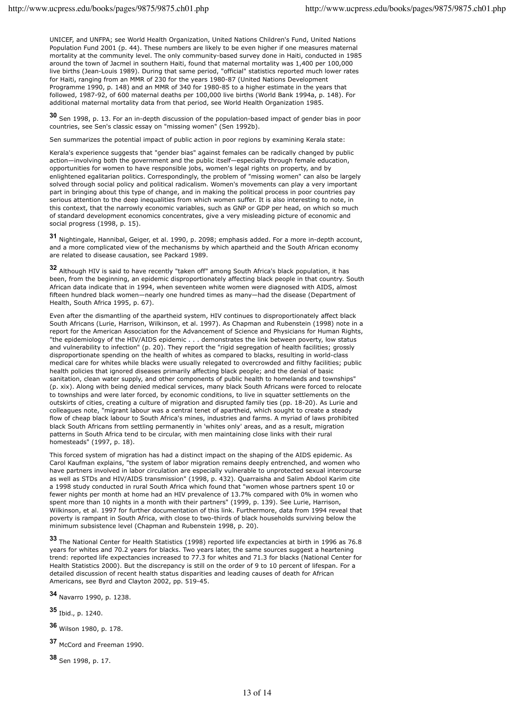UNICEF, and UNFPA; see World Health Organization, United Nations Children's Fund, United Nations Population Fund 2001 (p. 44). These numbers are likely to be even higher if one measures maternal mortality at the community level. The only community-based survey done in Haiti, conducted in 1985 around the town of Jacmel in southern Haiti, found that maternal mortality was 1,400 per 100,000 live births (Jean-Louis 1989). During that same period, "official" statistics reported much lower rates for Haiti, ranging from an MMR of 230 for the years 1980-87 (United Nations Development Programme 1990, p. 148) and an MMR of 340 for 1980-85 to a higher estimate in the years that followed, 1987-92, of 600 maternal deaths per 100,000 live births (World Bank 1994a, p. 148). For additional maternal mortality data from that period, see World Health Organization 1985.

**<sup>30</sup>** Sen 1998, p. 13. For an in-depth discussion of the population-based impact of gender bias in poor countries, see Sen's classic essay on "missing women" (Sen 1992b).

Sen summarizes the potential impact of public action in poor regions by examining Kerala state:

Kerala's experience suggests that "gender bias" against females can be radically changed by public action—involving both the government and the public itself—especially through female education, opportunities for women to have responsible jobs, women's legal rights on property, and by enlightened egalitarian politics. Correspondingly, the problem of "missing women" can also be largely solved through social policy and political radicalism. Women's movements can play a very important part in bringing about this type of change, and in making the political process in poor countries pay serious attention to the deep inequalities from which women suffer. It is also interesting to note, in this context, that the narrowly economic variables, such as GNP or GDP per head, on which so much of standard development economics concentrates, give a very misleading picture of economic and social progress (1998, p. 15).

**<sup>31</sup>** Nightingale, Hannibal, Geiger, et al. 1990, p. 2098; emphasis added. For a more in-depth account, and a more complicated view of the mechanisms by which apartheid and the South African economy are related to disease causation, see Packard 1989.

**<sup>32</sup>** Although HIV is said to have recently "taken off" among South Africa's black population, it has been, from the beginning, an epidemic disproportionately affecting black people in that country. South African data indicate that in 1994, when seventeen white women were diagnosed with AIDS, almost fifteen hundred black women—nearly one hundred times as many—had the disease (Department of Health, South Africa 1995, p. 67).

Even after the dismantling of the apartheid system, HIV continues to disproportionately affect black South Africans (Lurie, Harrison, Wilkinson, et al. 1997). As Chapman and Rubenstein (1998) note in a report for the American Association for the Advancement of Science and Physicians for Human Rights, "the epidemiology of the HIV/AIDS epidemic . . . demonstrates the link between poverty, low status and vulnerability to infection" (p. 20). They report the "rigid segregation of health facilities; grossly disproportionate spending on the health of whites as compared to blacks, resulting in world-class medical care for whites while blacks were usually relegated to overcrowded and filthy facilities; public health policies that ignored diseases primarily affecting black people; and the denial of basic sanitation, clean water supply, and other components of public health to homelands and townships" (p. xix). Along with being denied medical services, many black South Africans were forced to relocate to townships and were later forced, by economic conditions, to live in squatter settlements on the outskirts of cities, creating a culture of migration and disrupted family ties (pp. 18-20). As Lurie and colleagues note, "migrant labour was a central tenet of apartheid, which sought to create a steady flow of cheap black labour to South Africa's mines, industries and farms. A myriad of laws prohibited black South Africans from settling permanently in 'whites only' areas, and as a result, migration patterns in South Africa tend to be circular, with men maintaining close links with their rural homesteads" (1997, p. 18).

This forced system of migration has had a distinct impact on the shaping of the AIDS epidemic. As Carol Kaufman explains, "the system of labor migration remains deeply entrenched, and women who have partners involved in labor circulation are especially vulnerable to unprotected sexual intercourse as well as STDs and HIV/AIDS transmission" (1998, p. 432). Quarraisha and Salim Abdool Karim cite a 1998 study conducted in rural South Africa which found that "women whose partners spent 10 or fewer nights per month at home had an HIV prevalence of 13.7% compared with 0% in women who spent more than 10 nights in a month with their partners" (1999, p. 139). See Lurie, Harrison, Wilkinson, et al. 1997 for further documentation of this link. Furthermore, data from 1994 reveal that poverty is rampant in South Africa, with close to two-thirds of black households surviving below the minimum subsistence level (Chapman and Rubenstein 1998, p. 20).

**<sup>33</sup>** The National Center for Health Statistics (1998) reported life expectancies at birth in 1996 as 76.8 years for whites and 70.2 years for blacks. Two years later, the same sources suggest a heartening trend: reported life expectancies increased to 77.3 for whites and 71.3 for blacks (National Center for Health Statistics 2000). But the discrepancy is still on the order of 9 to 10 percent of lifespan. For a detailed discussion of recent health status disparities and leading causes of death for African Americans, see Byrd and Clayton 2002, pp. 519-45.

**<sup>34</sup>** Navarro 1990, p. 1238.

**<sup>35</sup>** Ibid., p. 1240.

**<sup>36</sup>** Wilson 1980, p. 178.

**<sup>37</sup>** McCord and Freeman 1990.

**<sup>38</sup>** Sen 1998, p. 17.